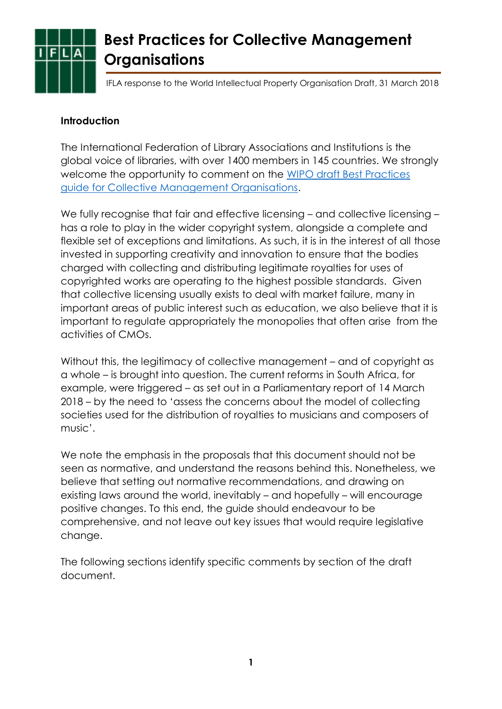# **Best Practices for Collective Management TFLA Organisations**

IFLA response to the World Intellectual Property Organisation Draft, 31 March 2018

### **Introduction**

The International Federation of Library Associations and Institutions is the global voice of libraries, with over 1400 members in 145 countries. We strongly welcome the opportunity to comment on the [WIPO draft Best Practices](http://www.wipo.int/meetings/en/doc_details.jsp?doc_id=397438)  [guide for Collective Management Organisations.](http://www.wipo.int/meetings/en/doc_details.jsp?doc_id=397438)

We fully recognise that fair and effective licensing – and collective licensing – has a role to play in the wider copyright system, alongside a complete and flexible set of exceptions and limitations. As such, it is in the interest of all those invested in supporting creativity and innovation to ensure that the bodies charged with collecting and distributing legitimate royalties for uses of copyrighted works are operating to the highest possible standards. Given that collective licensing usually exists to deal with market failure, many in important areas of public interest such as education, we also believe that it is important to regulate appropriately the monopolies that often arise from the activities of CMOs.

Without this, the legitimacy of collective management – and of copyright as a whole – is brought into question. The current reforms in South Africa, for example, were triggered – as set out in a Parliamentary report of 14 March 2018 – by the need to 'assess the concerns about the model of collecting societies used for the distribution of royalties to musicians and composers of music'.

We note the emphasis in the proposals that this document should not be seen as normative, and understand the reasons behind this. Nonetheless, we believe that setting out normative recommendations, and drawing on existing laws around the world, inevitably – and hopefully – will encourage positive changes. To this end, the guide should endeavour to be comprehensive, and not leave out key issues that would require legislative change.

The following sections identify specific comments by section of the draft document.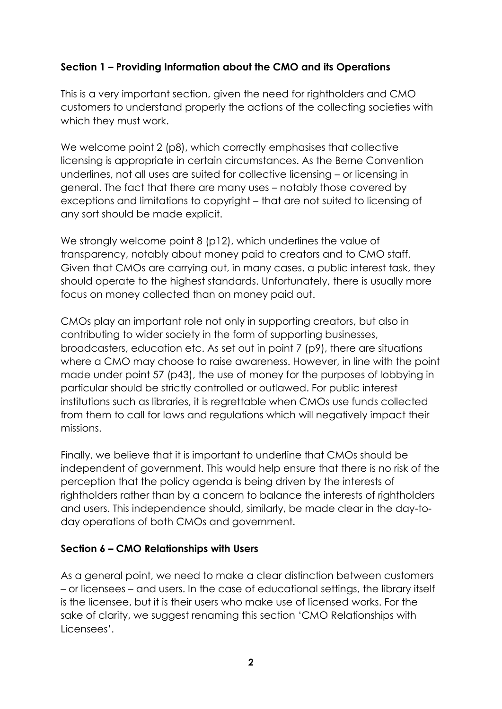# **Section 1 – Providing Information about the CMO and its Operations**

This is a very important section, given the need for rightholders and CMO customers to understand properly the actions of the collecting societies with which they must work.

We welcome point 2 (p8), which correctly emphasises that collective licensing is appropriate in certain circumstances. As the Berne Convention underlines, not all uses are suited for collective licensing – or licensing in general. The fact that there are many uses – notably those covered by exceptions and limitations to copyright – that are not suited to licensing of any sort should be made explicit.

We strongly welcome point 8 (p12), which underlines the value of transparency, notably about money paid to creators and to CMO staff. Given that CMOs are carrying out, in many cases, a public interest task, they should operate to the highest standards. Unfortunately, there is usually more focus on money collected than on money paid out.

CMOs play an important role not only in supporting creators, but also in contributing to wider society in the form of supporting businesses, broadcasters, education etc. As set out in point 7 (p9), there are situations where a CMO may choose to raise awareness. However, in line with the point made under point 57 (p43), the use of money for the purposes of lobbying in particular should be strictly controlled or outlawed. For public interest institutions such as libraries, it is regrettable when CMOs use funds collected from them to call for laws and regulations which will negatively impact their missions.

Finally, we believe that it is important to underline that CMOs should be independent of government. This would help ensure that there is no risk of the perception that the policy agenda is being driven by the interests of rightholders rather than by a concern to balance the interests of rightholders and users. This independence should, similarly, be made clear in the day-today operations of both CMOs and government.

#### **Section 6 – CMO Relationships with Users**

As a general point, we need to make a clear distinction between customers – or licensees – and users. In the case of educational settings, the library itself is the licensee, but it is their users who make use of licensed works. For the sake of clarity, we suggest renaming this section 'CMO Relationships with Licensees'.